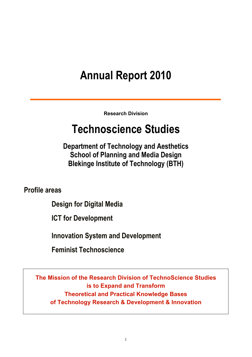# **Annual Report 2010**

**Research Division**

## **Technoscience Studies**

**Department of Technology and Aesthetics School of Planning and Media Design Blekinge Institute of Technology (BTH)**

**Profile areas**

**Design for Digital Media**

**ICT for Development**

**Innovation System and Development**

**Feminist Technoscience**

**The Mission of the Research Division of TechnoScience Studies is to Expand and Transform Theoretical and Practical Knowledge Bases of Technology Research & Development & Innovation**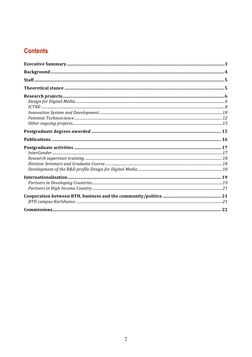## **Contents**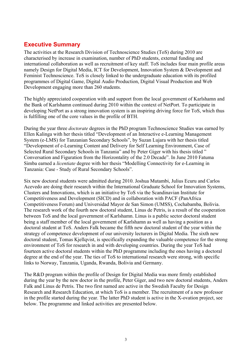## **Executive Summary**

The activities at the Research Division of Technoscience Studies (ToS) during 2010 are characterised by increase in examination, number of PhD students, external funding and international collaboration as well as recruitment of key staff. ToS includes four main profile areas namely Design for Digital Media, ICT for Development, Innovation System & Development and Feminist Technoscience. ToS is closely linked to the undergraduate education with its profiled programmes of Digital Game, Digital Audio Production, Digital Visual Production and Web Development engaging more than 260 students.

The highly appreciated cooperation with and support from the local government of Karlshamn and the Bank of Karlshamn continued during 2010 within the context of NetPort. To participate in developing NetPort as a strong innovation system is an inspiring driving force for ToS, which thus is fulfilling one of the core values in the profile of BTH.

During the year three *doctorate* degrees in the PhD program Technoscience Studies was earned by Ellen Kalinga with her thesis titled "Development of an Interactive e-Learning Management System (e-LMS) for Tanzanian Secondary Schools", by Suzan Lujara with her thesis titled "Development of e-Learning Content and Delivery for Self Learning Environment, Case of Selected Rural Secondary Schools in Tanzania" and by Peter Giger with his thesis titled " Conversation and Figuration from the Horizontality of the 2.0 Decade". In June 2010 Fatuma Simba earned a *licentiate* degree with her thesis "Modelling Connectivity for e-Learning in Tanzania: Case - Study of Rural Secondary Schools".

Six new doctoral students were admitted during 2010. Joshua Mutambi, Julius Ecuru and Carlos Acevedo are doing their research within the International Graduate School for Innovation Systems, Clusters and Innovations, which is an initiative by ToS via the Scandinavian Institute for Competitiveness and Development (SICD) and in collaboration with PACF (PanAfrica Competitiveness Forum) and Universidad Mayor de San Simon (UMSS), Cochabamba, Bolivia. The research work of the fourth new doctoral student, Linus de Petris, is a result of the cooperation between ToS and the local government of Karlshamn. Linus is a public sector doctoral student being a staff member of the local government of Karlshamn as well as having a position as a doctoral student at ToS. Anders Falk became the fifth new doctoral student of the year within the strategy of competence development of our university lecturers in Digital Media. The sixth new doctoral student, Tomas Kjellqvist, is specifically expanding the valuable competence for the strong environment of ToS for research in and with developing countries. During the year ToS had fourteen active doctoral students within the PhD programme including the ones having a doctoral degree at the end of the year. The ties of ToS to international research were strong, with specific links to Norway, Tanzania, Uganda, Rwanda, Bolivia and Germany.

The R&D program within the profile of Design for Digital Media was more firmly established during the year by the new doctor in the profile, Peter Giger, and two new doctoral students, Anders Falk and Linus de Petris. The two first named are active in the Swedish Faculty for Design Research and Research Education, at which ToS is a member. The recruitment of a new professor in the profile started during the year. The latter PhD student is active in the X-ovation project, see below. The programme and linked activities are presented below.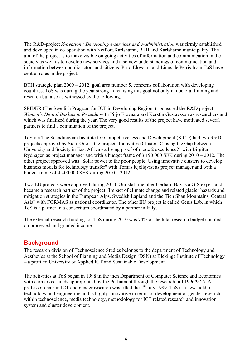The R&D-project *X-ovation : Developing e-services and e-administration* was firmly established and developed in co-operation with NetPort.Karlshamn, BTH and Karlshamn municipality. The aim of the project is to make visible on going activities of information and communication in the society as well as to develop new services and also new understandings of communication and information between public actors and citizens. Pirjo Elovaara and Linus de Petris from ToS have central roles in the project.

BTH strategic plan 2009 – 2012, goal area number 5, concerns collaboration with developing countries. ToS was during the year strong in realising this goal not only in doctoral training and research but also as witnessed by the following.

SPIDER (The Swedish Program for ICT in Developing Regions) sponsored the R&D project *Women´s Digital Baskets in Rwanda* with Pirjo Elovaara and Kerstin Gustavsson as researchers and which was finalized during the year. The very good results of the project have motivated several partners to find a continuation of the project.

ToS via The Scandinavian Institute for Competitiveness and Development (SICD) had two R&D projects approved by Sida. One is the project "Innovative Clusters Closing the Gap between University and Society in East Africa - a living proof of mode 2 excellence?" with Birgitta Rydhagen as project manager and with a budget frame of 3 190 000 SEK during 2010 – 2012. The other project approved was "Solar power to the poor people: Using innovative clusters to develop business models for technology transfer" with Tomas Kjellqvist as project manager and with a budget frame of 4 400 000 SEK during 2010 – 2012.

Two EU projects were approved during 2010. Our staff member Gerhard Bax is a GIS expert and became a research partner of the project "Impact of climate change and related glacier hazards and mitigation strategies in the European Alps, Swedish Lapland and the Tien Shan Mountains, Central Asia" with FORMAS as national coordinator. The other EU project is called Genis Lab, in which ToS is a partner in a consortium coordinated by a partner in Italy.

The external research funding for ToS during 2010 was 74% of the total research budget counted on processed and granted income.

## **Background**

The research division of Technoscience Studies belongs to the department of Technology and Aesthetics at the School of Planning and Media Design (DSN) at Blekinge Institute of Technology – a profiled University of Applied ICT and Sustainable Development.

The activities at ToS began in 1998 in the then Department of Computer Science and Economics with earmarked funds appropriated by the Parliament through the research bill 1996/97:5. A professor chair in ICT and gender research was filled the  $1<sup>st</sup>$  July 1999. ToS is a new field of technology and engineering and is highly innovative in terms of development of gender research within technoscience, media technology, methodology for ICT related research and innovation system and cluster development.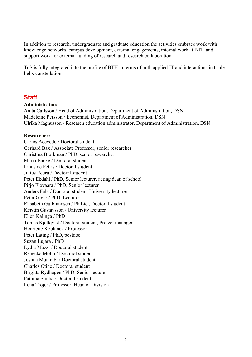In addition to research, undergraduate and graduate education the activities embrace work with knowledge networks, campus development, external engagements, internal work at BTH and support work for external funding of research and research collaboration.

ToS is fully integrated into the profile of BTH in terms of both applied IT and interactions in triple helix constellations.

## **Staff**

#### **Administrators**

Anita Carlsson / Head of Administration, Department of Administration, DSN Madeleine Persson / Economist, Department of Administration, DSN Ulrika Magnusson / Research education administrator, Department of Administration, DSN

#### **Researchers**

Carlos Acevedo / Doctoral student Gerhard Bax / Associate Professor, senior researcher Christina Björkman / PhD, senior researcher Maria Bäcke / Doctoral student Linus de Petris / Doctoral student Julius Ecuru / Doctoral student Peter Ekdahl / PhD, Senior lecturer, acting dean of school Pirjo Elovaara / PhD, Senior lecturer Anders Falk / Doctoral student, University lecturer Peter Giger / PhD, Lecturer Elisabeth Gulbrandsen / Ph.Lic., Doctoral student Kerstin Gustavsson / University lecturer Ellen Kalinga / PhD Tomas Kjellqvist / Doctoral student, Project manager Henriette Koblanck / Professor Peter Lating / PhD, postdoc Suzan Lujara / PhD Lydia Mazzi / Doctoral student Rebecka Molin / Doctoral student Joshua Mutambi / Doctoral student Charles Otine / Doctoral student Birgitta Rydhagen / PhD, Senior lecturer Fatuma Simba / Doctoral student Lena Trojer / Professor, Head of Division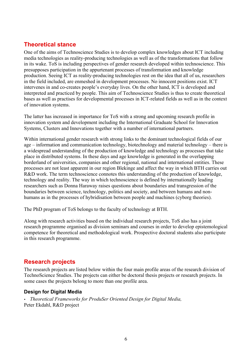## **Theoretical stance**

One of the aims of Technoscience Studies is to develop complex knowledges about ICT including media technologies as reality-producing technologies as well as of the transformations that follow in its wake. ToS is including perspectives of gender research developed within technoscience. This presupposes participation in the appurtenant processes of transformation and knowledge production. Seeing ICT as reality-producing technologies rest on the idea that all of us, researchers in the field included, are enmeshed in development processes. No innocent positions exist. ICT intervenes in and co-creates people's everyday lives. On the other hand, ICT is developed and interpreted and practiced by people. This aim of Technoscience Studies is thus to create theoretical bases as well as practises for developmental processes in ICT-related fields as well as in the context of innovation systems.

The latter has increased in importance for ToS with a strong and upcoming research profile in innovation system and development including the International Graduate School for Innovation Systems, Clusters and Innovations together with a number of international partners.

Within international gender research with strong links to the dominant technological fields of our age – information and communication technology, biotechnology and material technology – there is a widespread understanding of the production of knowledge and technology as processes that take place in distributed systems. In these days and age knowledge is generated in the overlapping borderland of universities, companies and other regional, national and international entities. These processes are not least apparent in our region Blekinge and affect the way in which BTH carries out R&D work. The term technoscience connotes this understanding of the production of knowledge, technology and reality. The way in which technoscience is defined by internationally leading researchers such as Donna Haraway raises questions about boundaries and transgression of the boundaries between science, technology, politics and society, and between humans and nonhumans as in the processes of hybridisation between people and machines (cyborg theories).

The PhD program of ToS belongs to the faculty of technology at BTH.

Along with research activities based on the individual research projects, ToS also has a joint research programme organised as division seminars and courses in order to develop epistemological competence for theoretical and methodological work. Prospective doctoral students also participate in this research programme.

## **Research projects**

The research projects are listed below within the four main profile areas of the research division of TechnoScience Studies. The projects can either be doctoral thesis projects or research projects. In some cases the projects belong to more than one profile area.

## **Design for Digital Media**

• *Theoretical Frameworks for ProduSer Oriented Design for Digital Media,*  Peter Ekdahl, R&D project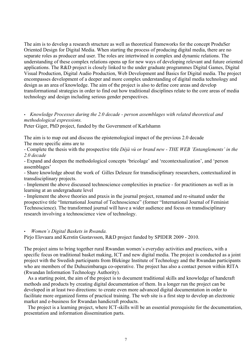The aim is to develop a research structure as well as theoretical frameworks for the concept ProduSer Oriented Design for Digital Media. When starting the process of producing digital media, there are no separate roles as producer and user. The roles are intertwined in complex and dynamic relations. The understanding of these complex relations opens up for new ways of developing relevant and future oriented applications. The R&D project is closely linked to the under graduate programmes Digital Games, Digital Visual Production, Digital Audio Production, Web Development and Basics for Digital media. The project encompasses development of a deeper and more complex understanding of digital media technology and design as an area of knowledge. The aim of the project is also to define core areas and develop transformational strategies in order to find out how traditional disciplines relate to the core areas of media technology and design including serious gender perspectives.

#### • *Knowledge Processes during the 2.0 decade - person assemblages with related theoretical and methodological expressions.*

Peter Giger, PhD project, funded by the Government of Karlshamn

The aim is to map out and discuss the epistemological impact of the previous 2.0 decade The more specific aims are to

- Complete the thesis with the prospective title *Déjà vù or brand new - THE WEB 'Entanglements' in the 2.0 decade*

- Expand and deepen the methodological concepts 'bricolage' and 'recontextualization', and 'person assemblages'

- Share knowledge about the work of Gilles Deleuze for transdisciplinary researchers, contextualized in transdisciplinary projects.

- Implement the above discussed technoscience complexities in practice - for practitioners as well as in learning at an undergraduate level

- Implement the above theories and praxis in the journal project, renamed and re-situated under the prospective title "International Journal of Technoscience" (former "International Journal of Feminist Technoscience). The transformed journal will have a wider audience and focus on transdisciplinary research involving a technoscience view of technology.

#### • *Women´s Digital Baskets in Rwanda.*

Pirjo Elovaara and Kerstin Gustavsson, R&D project funded by SPIDER 2009 - 2010.

The project aims to bring together rural Rwandan women´s everyday activities and practices, with a specific focus on traditional basket making, ICT and new digital media. The project is conducted as a joint project with the Swedish participants from Blekinge Institute of Technology and the Rwandan participants who are members of the Duhuzimbaraga co-operative. The project has also a contact person within RITA (Rwandan Information Technology Authority).

 As a starting point, the aim of the project is to document traditional skills and knowledge of handcraft methods and products by creating digital documentation of them. In a longer run the project can be developed in at least two directions: to create even more advanced digital documentation in order to facilitate more organized forms of practical training. The web site is a first step to develop an electronic market and e-business for Rwandan handicraft products.

 The project is a learning project, where ICT-skills will be an essential prerequisite for the documentation, presentation and information dissemination parts.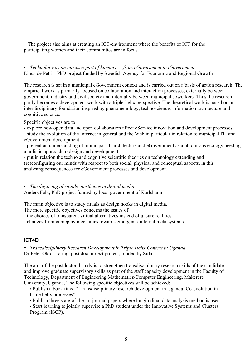The project also aims at creating an ICT-environment where the benefits of ICT for the participating women and their communities are in focus.

#### • *Technology as an intrinsic part of humans — from eGovernment to iGovernment* Linus de Petris, PhD project funded by Swedish Agency for Economic and Regional Growth

The research is set in a municipal eGovernment context and is carried out on a basis of action research. The empirical work is primarily focused on collaboration and interaction processes, externally between government, industry and civil society and internally between municipal coworkers. Thus the research partly becomes a development work with a triple-helix perspective. The theoretical work is based on an interdisciplinary foundation inspired by phenomenology, technoscience, information architecture and cognitive science.

Specific objectives are to

- explore how open data and open collaboration affect eService innovation and development processes - study the evolution of the Internet in general and the Web in particular in relation to municipal IT- and eGovernment development

- present an understanding of municipal IT-architecture and eGovernment as a ubiquitous ecology needing a holistic approach to design and development

- put in relation the techno and cognitive scientific theories on technology extending and (re)configuring our minds with respect to both social, physical and conceptual aspects, in this analysing consequences for eGovernment processes and development.

#### • *The digitizing of rituals; aesthetics in digital media*

Anders Falk, PhD project funded by local government of Karlshamn

The main objective is to study rituals as design hooks in digital media.

The more specific objectives concerns the issues of

- the choices of transparent virtual alternatives instead of unsure realities

- changes from gameplay mechanics towards emergent / internal meta systems.

## **ICT4D**

• *Transdisciplinary Research Development in Triple Helix Context in Uganda* Dr Peter Okidi Lating, post doc project project, funded by Sida.

The aim of the postdoctoral study is to strengthen transdisciplinary research skills of the candidate and improve graduate supervisory skills as part of the staff capacity development in the Faculty of Technology, Department of Engineering Mathematics/Computer Engineering, Makerere University, Uganda, The following specific objectives will be achieved:

• Publish a book titled " Transdisciplinary research development in Uganda: Co-evolution in triple helix processes".

• Publish three state-of-the-art journal papers where longitudinal data analysis method is used.

• Start learning to jointly supervise a PhD student under the Innovative Systems and Clusters Program (ISCP).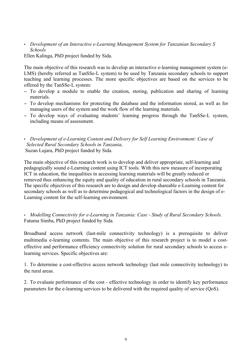• *Development of an Interactive e-Learning Management System for Tanzanian Secondary S Schools*

Ellen Kalinga, PhD project funded by Sida.

The main objective of this research was to develop an interactive e-learning management system (e-LMS) (hereby referred as TanSSe-L system) to be used by Tanzania secondary schools to support teaching and learning processes. The more specific objectives are based on the services to be offered by the TanSSe-L system:

- − To develop a module to enable the creation, storing, publication and sharing of learning materials.
- − To develop mechanisms for protecting the database and the information stored, as well as for managing users of the system and the work flow of the learning materials.
- − To develop ways of evaluating students' learning progress through the TanSSe-L system, including means of assessment.

• *Development of e-Learning Content and Delivery for Self Learning Environment: Case of Selected Rural Secondary Schools in Tanzania,*  Suzan Lujara, PhD project funded by Sida.

The main objective of this research work is to develop and deliver appropriate, self-learning and pedagogically sound e-Learning content using ICT tools. With this new measure of incorporating ICT in education, the inequalities in accessing learning materials will be greatly reduced or removed thus enhancing the equity and quality of education in rural secondary schools in Tanzania. The specific objectives of this research are to design and develop shareable e-Learning content for secondary schools as well as to determine pedagogical and technological factors in the design of e-Learning content for the self-learning environment.

• *Modelling Connectivity for e-Learning in Tanzania: Case - Study of Rural Secondary Schools.* Fatuma Simba, PhD project funded by Sida.

Broadband access network (last-mile connectivity technology) is a prerequisite to deliver multimedia e-learning contents. The main objective of this research project is to model a costeffective and performance efficiency connectivity solution for rural secondary schools to access elearning services. Specific objectives are:

1. To determine a cost-effective access network technology (last mile connectivity technology) to the rural areas.

2. To evaluate performance of the cost - effective technology in order to identify key performance parameters for the e-learning services to be delivered with the required quality of service (QoS).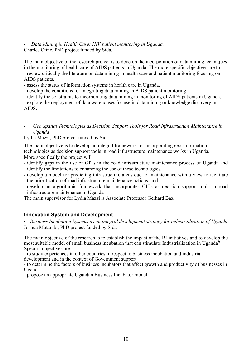#### • *Data Mining in Health Care: HIV patient monitoring in Uganda,*  Charles Otine, PhD project funded by Sida.

The main objective of the research project is to develop the incorporation of data mining techniques in the monitoring of health care of AIDS patients in Uganda. The more specific objectives are to - review critically the literature on data mining in health care and patient monitoring focusing on AIDS patients.

- assess the status of information systems in health care in Uganda.

- develop the conditions for integrating data mining in AIDS patient monitoring.

- identify the constraints to incorporating data mining in monitoring of AIDS patients in Uganda.

- explore the deployment of data warehouses for use in data mining or knowledge discovery in AIDS.

• *Geo Spatial Technologies as Decision Support Tools for Road Infrastructure Maintenance in Uganda* 

Lydia Mazzi, PhD project funded by Sida.

The main objective is to develop an integral framework for incorporating geo-information technologies as decision support tools in road infrastructure maintenance works in Uganda. More specifically the project will

- identify gaps in the use of GITs in the road infrastructure maintenance process of Uganda and identify the limitations to enhancing the use of these technologies,
- develop a model for predicting infrastructure areas due for maintenance with a view to facilitate the prioritization of road infrastructure maintenance actions, and
- develop an algorithmic framework that incorporates GITs as decision support tools in road infrastructure maintenance in Uganda

The main supervisor for Lydia Mazzi is Associate Professor Gerhard Bax.

## **Innovation System and Development**

• *Business Incubation Systems as an integral development strategy for industrialization of Uganda* Joshua Mutambi, PhD project funded by Sida

The main objective of the research is to establish the impact of the BI initiatives and to develop the most suitable model of small business incubation that can stimulate Industrialization in Uganda" Specific objectives are

- to study experiences in other countries in respect to business incubation and industrial development and in the context of Government support

- to determine the factors of business incubators that affect growth and productivity of businesses in Uganda

- propose an appropriate Ugandan Business Incubator model.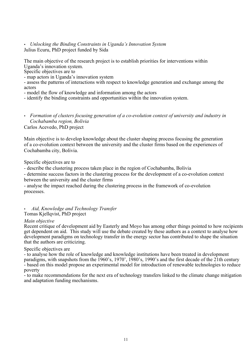#### • *Unlocking the Binding Constraints in Uganda's Innovation System* Julius Ecuru, PhD project funded by Sida

The main objective of the research project is to establish priorities for interventions within Uganda's innovation system.

Specific objectives are to

- map actors in Uganda's innovation system

- assess the patterns of interactions with respect to knowledge generation and exchange among the actors

- model the flow of knowledge and information among the actors

- identify the binding constraints and opportunities within the innovation system.

• *Formation of clusters focusing generation of a co-evolution context of university and industry in Cochabamba region, Bolivia*  Carlos Acevedo, PhD project

Main objective is to develop knowledge about the cluster shaping process focusing the generation of a co-evolution context between the university and the cluster firms based on the experiences of Cochabamba city, Bolivia.

Specific objectives are to

- describe the clustering process taken place in the region of Cochabamba, Bolivia

- determine success factors in the clustering process for the development of a co-evolution context between the university and the cluster firms

- analyse the impact reached during the clustering process in the framework of co-evolution processes.

• *Aid, Knowledge and Technology Transfer* Tomas Kjellqvist, PhD project

#### *Main objective*

Recent critique of development aid by Easterly and Moyo has among other things pointed to how recipients get dependent on aid. This study will use the debate created by these authors as a context to analyse how development paradigms on technology transfer in the energy sector has contributed to shape the situation that the authors are criticizing.

Specific objectives are

- to analyse how the role of knowledge and knowledge institutions have been treated in development paradigms, with snapshots from the 1960's, 1970', 1980's, 1990's and the first decade of the 21th century - based on this model propose an experimental model for introduction of renewable technologies to reduce poverty

- to make recommendations for the next era of technology transfers linked to the climate change mitigation and adaptation funding mechanisms.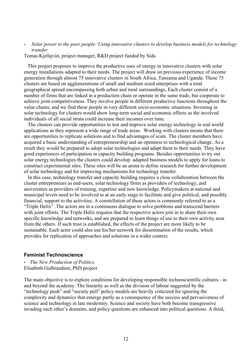#### • *Solar power to the poor people: Using innovative clusters to develop business models for technology transfer*

Tomas Kjellqvist, project manager, R&D project funded by Sida

This project proposes to improve the productive uses of energy in innovative clusters with solar energy installations adapted to their needs. The project will draw on previous experience of income generation through almost 75 innovative clusters in South Africa, Tanzania and Uganda. These 75 clusters are based on agglomerations of small and medium sized enterprises with a total geographical spread encompassing both urban and rural surroundings. Each cluster consist of a number of firms that are linked in a production chain or operate in the same trade, but cooperate to achieve joint competitiveness. They involve people in different productive functions throughout the value chains, and we find these people in very different socio-economic situations. Investing in solar technology for clusters would show long-term social and economic effects as the involved individuals of all social strata could increase their incomes over time.

 The clusters can provide opportunities to test and improve solar energy technology in real world applications as they represent a wide range of trade areas. Working with clusters means that there are opportunities to replicate solutions and to find advantages of scale. The cluster members have acquired a basic understanding of entrepreneurship and an openness to technological change. As a result they would be prepared to adopt solar technologies and adapt them to their needs. They have good experiences of participation in capacity building programs. Besides opportunities to try out solar energy technologies the clusters could develop adapted business models to apply for loans to construct experimental sites. These sites will be an arena to define research for further development of solar technology and for improving mechanisms for technology transfer.

 In this case, technology transfer and capacity building requires a close collaboration between the cluster entrepreneurs as end-users, solar technology firms as providers of technology, and universities as providers of training, expertise and new knowledge. Policymakers at national and municipal levels need to be involved to at an early stage to facilitate and give political, and possibly financial, support to the activities. A constellation of these actors is commonly referred to as a "Triple Helix". The actors are in a continuous dialogue to solve problems and transcend barriers with joint efforts. The Triple Helix requires that the respective actors join in to share their own specific knowledge and networks, and are prepared to learn things of use to their own activity area from the others. If such trust is established, the effects of the project are more likely to be sustainable. Each actor could also use his/her network for dissemination of the results, which provides for replication of approaches and solutions in a wider context.

#### **Feminist Technoscience**

• *The New Production of Politics,*  Elisabeth Gulbrandsen, PhD project

The main objective is to explore conditions for developing responsible technoscientific cultures - in and beyond the academy. The linearity as well as the division of labour suggested by the "technology push" and "society pull" policy models are heavily criticized for ignoring the complexity and dynamics that emerge partly as a consequence of the success and pervasiveness of science and technology in late modernity. Science and society have both become transgressive invading each other's domains, and policy questions are enhanced into political questions. A third,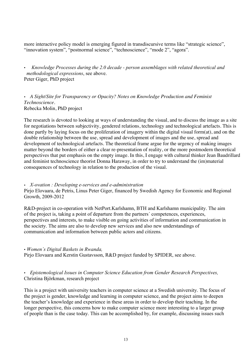more interactive policy model is emerging figured in transdiscursive terms like "strategic science", "innovation system", "postnormal science", "technoscience", "mode 2", "agora".

• *Knowledge Processes during the 2.0 decade - person assemblages with related theoretical and methodological expressions*, see above. Peter Giger, PhD project

• *A Sight/Site for Transparency or Opacity? Notes on Knowledge Production and Feminist Technoscience.*  Rebecka Molin, PhD project

The research is devoted to looking at ways of understanding the visual, and to discuss the image as a site for negotiations between subjectivity, gendered relations, technology and technological artefacts. This is done partly by laying focus on the proliferation of imagery within the digital visual form(at), and on the double relationship between the use, spread and development of images and the use, spread and development of technological artefacts. The theoretical frame argue for the urgency of making images matter beyond the borders of either a clear re-presentation of reality, or the more postmodern theoretical perspectives that put emphasis on the empty image. In this, I engage with cultural thinker Jean Baudrillard and feminist technoscience theorist Donna Haraway, in order to try to understand the (im)material consequences of technology in relation to the production of the visual.

• *X-ovation : Developing e-services and e-administration* 

Pirjo Elovaara, de Petris, Linus Peter Giger, financed by Swedish Agency for Economic and Regional Growth, 2009-2012

R&D-project in co-operation with NetPort.Karlshamn, BTH and Karlshamn municipality. The aim of the project is, taking a point of departure from the partners´ competences, experiences, perspectives and interests, to make visible on going activities of information and communication in the society. The aims are also to develop new services and also new understandings of communication and information between public actors and citizens.

• *Women´s Digital Baskets in Rwanda,*

Pirjo Elovaara and Kerstin Gustavsson, R&D project funded by SPIDER, see above.

• *Epistemological Issues in Computer Science Education from Gender Research Perspectives,*  Christina Björkman, research project

This is a project with university teachers in computer science at a Swedish university. The focus of the project is gender, knowledge and learning in computer science, and the project aims to deepen the teacher's knowledge and experience in these areas in order to develop their teaching. In the longer perspective, this concerns how to make computer science more interesting to a larger group of people than is the case today. This can be accomplished by, for example, discussing issues such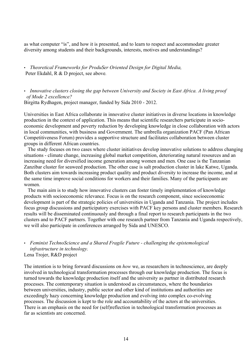as what computer "is", and how it is presented, and to learn to respect and accommodate greater diversity among students and their backgrounds, interests, motives and understandings?

• *Theoretical Frameworks for ProduSer Oriented Design for Digital Media,*  Peter Ekdahl, R & D project, see above*.*

• *Innovative clusters closing the gap between University and Society in East Africa. A living proof of Mode 2 excellence?*

Birgitta Rydhagen, project manager, funded by Sida 2010 - 2012.

Universities in East Africa collaborate in innovative cluster initiatives in diverse locations in knowledge production in the context of application. This means that scientific researchers participate in socioeconomic development and poverty reduction by developing knowledge in close collaboration with actors in local communities, with business and Government. The umbrella organization PACF (Pan African Competitiveness Forum) provides a supportive structure and facilitates collaboration between cluster groups in different African countries.

 The study focuses on two cases where cluster initiatives develop innovative solutions to address changing situations - climate change, increasing global market competition, deteriorating natural resources and an increasing need for diversified income generation among women and men. One case is the Tanzanian Zanzibar cluster for seaweed production. The other case is salt production cluster in lake Katwe, Uganda. Both clusters aim towards increasing product quality and product diversity to increase the income, and at the same time improve social conditions for workers and their families. Many of the participants are women.

 The main aim is to study how innovative clusters can foster timely implementation of knowledge products with socioeconomic relevance. Focus is on the research component, since socioeconomic development is part of the strategic policies of universities in Uganda and Tanzania. The project includes focus group discussions and participatory exercises with PACF key persons and cluster members. Research results will be disseminated continuously and through a final report to research participants in the two clusters and to PACF partners. Together with one research partner from Tanzania and Uganda respectively, we will also participate in conferences arranged by Sida and UNESCO.

• *Feminist TechnoScience and a Shared Fragile Future - challenging the epistemological infrastructure in technology.*

Lena Trojer, R&D project

The intention is to bring forward discussions on *how* we, as researchers in technoscience, are deeply involved in technological transformation processes through our knowledge production. The focus is turned towards the knowledge production itself and the university as partner in distributed research processes. The contemporary situation is understood as circumstances, where the boundaries between universities, industry, public sector and other kind of institutions and authorities are exceedingly hazy concerning knowledge production and evolving into complex co-evolving processes. The discussion is kept to the role and accountability of the actors at the universities. There is an emphasis on the need for (self)reflection in technological transformation processes as far as scientists are concerned.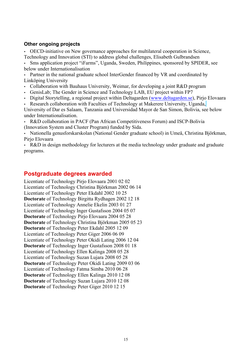### **Other ongoing projects**

• OECD-initiative on New governance approaches for multilateral cooperation in Science, Technology and Innovation (STI) to address global challenges, Elisabeth Gulbrandsen

• Sms application project "iFarms", Uganda, Sweden, Philippines, sponsored by SPIDER, see below under Internationalisation

• Partner in the national graduate school InterGender financed by VR and coordinated by Linköping University

- Collaboration with Bauhaus University, Weimar, for developing a joint R&D program
- GenisLab; The Gender in Science and Technology LAB, EU project within FP7
- Digital Storytelling, a regional project within Deltagarden (www.deltagarden.se), Pirjo Elovaara
- Research collaboration with Faculties of Technology at Makerere University, Uganda,

University of Dar es Salaam, Tanzania and Universidad Mayor de San Simon, Bolivia, see below under Internationalisation.

• R&D collaboration in PACF (Pan African Competitiveness Forum) and ISCP-Bolivia (Innovation System and Cluster Program) funded by Sida.

• Nationella genusforskarskolan (National Gender graduate school) in Umeå, Christina Björkman, Pirjo Elovaara

• R&D in design methodology for lecturers at the media technology under graduate and graduate programs.

## **Postgraduate degrees awarded**

Licentiate of Technology Pirjo Elovaara 2001 02 02 Licentiate of Technology Christina Björkman 2002 06 14 Licentiate of Technology Peter Ekdahl 2002 10 25 **Doctorate** of Technology Birgitta Rydhagen 2002 12 18 Licentiate of Technology Annelie Ekelin 2003 01 27 Licentiate of Technology Inger Gustafsson 2004 05 07 **Doctorate** of Technology Pirjo Elovaara 2004 05 28 **Doctorate** of Technology Christina Björkman 2005 05 23 **Doctorate** of Technology Peter Ekdahl 2005 12 09 Licentiate of Technology Peter Giger 2006 06 09 Licentiate of Technology Peter Okidi Lating 2006 12 04 **Doctorate** of Technology Inger Gustafsson 2008 01 18 Licentiate of Technology Ellen Kalinga 2008 05 28 Licentiate of Technology Suzan Lujara 2008 05 28 **Doctorate** of Technology Peter Okidi Lating 2009 03 06 Licentiate of Technology Fatma Simba 2010 06 28 **Doctorate** of Technology Ellen Kalinga 2010 12 08 **Doctorate** of Technology Suzan Lujara 2010 12 08 **Doctorate** of Technology Peter Giger 2010 12 15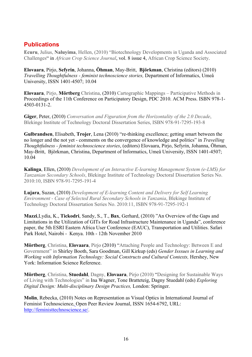## **Publications**

**Ecuru**, Julius, **Naluyima**, Hellen, (2010) "Biotechnology Developments in Uganda and Associated Challenges" in *African Crop Science Journal*, vol. 8 issue 4, African Crop Science Society.

**Elovaara**, Pirjo, **Sefyrin**, Johanna, **Öhman**, May-Britt, **Björkman**, Christina (editors) (2010) *Travelling Thoughtfulness - feminist technoscience stories,* Department of Informatics, Umeå University, ISSN 1401-4507; 10.04

**Elovaara**, Pirjo, **Mörtberg** Christina, (2010) Cartographic Mappings – Participative Methods in Proceedings of the 11th Conference on Participatory Design, PDC 2010. ACM Press. ISBN 978-1- 4503-0131-2.

**Giger**, Peter, (2010) *Conversation and Figuration from the Horizontality of the 2.0 Decade*, Blekinge Institute of Technology Doctoral Dissertation Series, ISBN 978-91-7295-193-8

**Gulbrandsen**, Elisabeth, **Trojer**, Lena (2010) "re-thinking excellence; getting smart between the no longer and the not yet - comments on the convergence of knowledge and politics" in *Travelling Thoughtfulness - feminist technoscience stories*, (editors) Elovaara, Pirjo, Sefyrin, Johanna, Öhman, May-Britt, Björkman, Christina, Department of Informatics, Umeå University, ISSN 1401-4507; 10.04

**Kalinga**, Ellen, (2010) *Development of an Interactive E-learning Management System (e-LMS) for Tanzanian Secondary Schools*, Blekinge Institute of Technology Doctoral Dissertation Series No. 2010:10, ISBN 978-91-7295-191-4

**Lujara**, Suzan, (2010) *Development of E-learning Content and Delivery for Self Learning Environment - Case of Selected Rural Secondary Schools in Tanzania*, Blekinge Institute of Technology Doctoral Dissertation Series No. 2010:11, ISBN 978-91-7295-192-1

**Mazzi**,Lydia, K., **Tickodri**, Sandy, S., T., **Bax**, Gerhard, (2010) "An Overview of the Gaps and Limitations in the Utilization of GITs for Road Infrastructure Maintenance in Uganda", conference paper, the 5th ESRI Eastern Africa User Conference (EAUC), Transportation and Utilities. Safari Park Hotel, Nairobi - Kenya. 10th - 12th November 2010

**Mörtberg**, Christina, **Elovaara**, Pirjo (2010) "Attaching People and Technology: Between E and Government" in Shirley Booth, Sara Goodman, Gill Kirkup (eds) *Gender Isssues in Learning and Working with Information Technology: Social Constructs and Cultural Contexts,* Hershey, New York: Information Science Reference.

**Mörtberg**, Christina, **Stuedahl**, Dagny, **Elovaara**, Pirjo (2010) "Designing for Sustainable Ways of Living with Technologies" in Ina Wagner, Tone Bratteteig, Dagny Stuedahl (eds) *Exploring Digital Design: Multi-disciplinary Design Practices,* London: Springer.

**Molin**, Rebecka, (2010) Notes on Representation as Visual Optics in International Journal of Feminist Technoscience, Open Peer Review Journal, ISSN 1654-6792, URL: http://feministtechnoscience.se/.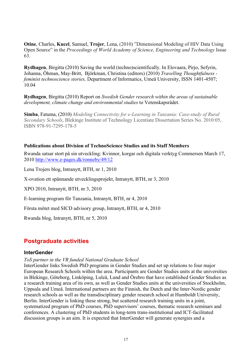**Otine**, Charles, **Kucel**, Samuel, **Trojer**, Lena, (2010) "Dimensional Modeling of HIV Data Using Open Source" in the *Proceedings of World Academy of Science, Engineering and Technology* Issue 63.

**Rydhagen**, Birgitta (2010) Saving the world (techno)scientifically. In Elovaara, Pirjo, Sefyrin, Johanna, Öhman, May-Britt, Björkman, Christina (editors) (2010) *Travelling Thoughtfulness feminist technoscience stories,* Department of Informatics, Umeå University, ISSN 1401-4507; 10.04

**Rydhagen**, Birgitta (2010) Report on *Swedish Gender research within the areas of sustainable development, climate change and environmental studies* to Vetenskapsrådet.

**Simba**, Fatuma, (2010) *Modeling Connectivity for e-Learning in Tanzania: Case-study of Rural Secondary Schools*, Blekinge Institute of Technology Licentiate Dissertation Series No. 2010:05, ISBN 978-91-7295-178-5

#### **Publications about Division of TechnoScience Studies and its Staff Members**

Rwanda satsar stort på sin utveckling: Kvinnor, korgar och digitala verktyg Commersen March 17, 2010 http://www.e-pages.dk/ronneby/49/12

Lena Trojers blog, Intranytt, BTH, nr 1, 2010

X-ovation ett spännande utvecklingsprojekt, Intranytt, BTH, nr 3, 2010

XPO 2010, Intranytt, BTH, nr 3, 2010

E-learning program för Tanzania, Intranytt, BTH, nr 4, 2010

Första mötet med SICD advisory group, Intranytt, BTH, nr 4, 2010

Rwanda blog, Intranytt, BTH, nr 5, 2010

## **Postgraduate activities**

#### **InterGender**

*ToS partner in the VR funded National Graduate School*

InterGender links Swedish PhD programs in Gender Studies and set up relations to four major European Research Schools within the area. Participants are Gender Studies units at the universities in Blekinge, Göteborg, Linköping, Luleå, Lund and Örebro that have established Gender Studies as a research training area of its own, as well as Gender Studies units at the universities of Stockholm, Uppsala and Umeå. International partners are the Finnish, the Dutch and the Inter-Nordic gender research schools as well as the transdisciplinary gender research school at Humboldt University, Berlin. InterGender is linking these strong, but scattered research training units in a joint, systematized program of PhD courses, PhD supervisors' courses, thematic research seminars and conferences. A clustering of PhD students in long-term trans-institutional and ICT-facilitated discussion groups is an aim. It is expected that InterGender will generate synergies and a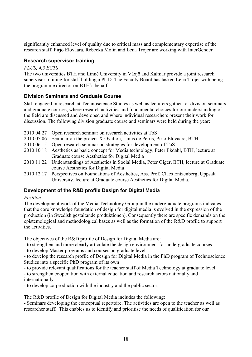significantly enhanced level of quality due to critical mass and complementary expertise of the research staff. Pirjo Elovaara, Rebecka Molin and Lena Trojer are working with InterGender.

## **Research supervisor training**

#### *FLUS, 4,5 ECTS*

The two universities BTH and Linné University in Växjö and Kalmar provide a joint research supervisor training for staff holding a Ph.D. The Faculty Board has tasked Lena Trojer with being the programme director on BTH's behalf.

## **Division Seminars and Graduate Course**

Staff engaged in research at Technoscience Studies as well as lecturers gather for division seminars and graduate courses, where research activities and fundamental choices for our understanding of the field are discussed and developed and where individual researchers present their work for discussion. The following division graduate course and seminars were held during the year:

- 2010 04 27 Open research seminar on research activities at ToS
- 2010 05 06 Seminar on the project X-Ovation, Linus de Petris, Pirjo Elovaara, BTH
- 2010 06 15 Open research seminar on strategies for development of ToS
- 2010 10 18 Aesthetics as basic concept for Media technology, Peter Ekdahl, BTH, lecture at Graduate course Aesthetics for Digital Media
- 2010 11 22 Understandings of Aesthetics in Social Media, Peter Giger, BTH, lecture at Graduate course Aesthetics for Digital Media
- 2010 12 17 Perspectives on Foundations of Aesthetics, Ass. Prof. Claes Entzenberg, Uppsala University, lecture at Graduate course Aesthetics for Digital Media.

## **Development of the R&D profile Design for Digital Media**

#### *Position*

The development work of the Media Technology Group in the undergraduate programs indicates that the core knowledge foundation of design for digital media is evolved in the expression of the production (in Swedish gestaltande produktionen). Consequently there are specific demands on the epistemological and methodological bases as well as the formation of the R&D profile to support the activities.

The objectives of the R&D profile of Design for Digital Media are:

- to strengthen and more clearly articulate the design environment for undergraduate courses
- to develop Master programs and courses on graduate level

- to develop the research profile of Design for Digital Media in the PhD program of Technoscience Studies into a specific PhD program of its own

- to provide relevant qualifications for the teacher staff of Media Technology at graduate level

- to strengthen cooperation with external education and research actors nationally and internationally

- to develop co-production with the industry and the public sector.

The R&D profile of Design for Digital Media includes the following:

- Seminars developing the conceptual repertoire. The activities are open to the teacher as well as researcher staff. This enables us to identify and prioritise the needs of qualification for our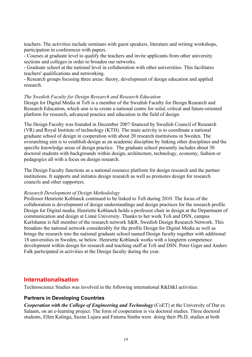teachers. The activities include seminars with guest speakers, literature and writing workshops, participation in conferences with papers.

- Courses at graduate level to qualify the teachers and invite applicants from other university sections and colleges in order to broaden our networks.

- Graduate school at the national level in collaboration with other universities. This facilitates teachers' qualifications and networking.

- Research groups focusing three areas: theory, development of design education and applied research.

#### *The Swedish Faculty for Design Research and Research Education*

Design for Digital Media at ToS is a member of the Swedish Faculty for Design Research and Research Education, which aim is to create a national centre for solid, critical and future-oriented platform for research, advanced practice and education in the field of design.

The Design Faculty was founded in December 2007 financed by Swedish Council of Research (VR) and Royal Institute of technology (KTH). The main activity is to coordinate a national graduate school of design in cooperation with about 20 research institutions in Sweden. The overarching aim is to establish design as an academic discipline by linking other disciplines and the specific knowledge areas of design practice. The graduate school presently includes about 30 doctoral students with backgrounds within design, architecture, technology, economy, fashion or pedagogics all with a focus on design research.

The Design Faculty functions as a national resource platform for design research and the partner institutions. It supports and initiates design research as well as promotes design for research councils and other supporters.

#### *Research Development of Design Methodology*

Professor Henriette Koblanck continued to be linked to ToS during 2010. The focus of the collaboration is development of design understandings and design practices for the research profile Design for Digital media. Henriette Koblanck holds a professor chair in design at the Department of communication and design at Linné University. Thanks to her work ToS and DSN, campus Karlshamn is full member of the research network S&R, Swedish Design Research Network. This broadens the national network considerably for the profile Design for Digital Media as well as brings the research into the national graduate school named Design faculty together with additional 18 universities in Sweden, se below. Henriette Koblanck works with a longterm competence development within design for research and teaching staff at ToS and DSN. Peter Giger and Anders Falk participated in activities at the Design faculty during the year.

## **Internationalisation**

Technoscience Studies was involved in the following international R&D&I activities:

#### **Partners in Developing Countries**

*Cooperation with the College of Engineering and Technology* (CoET) at the University of Dar es Salaam, on an e-learning project. The form of cooperation is via doctoral studies. Three doctoral students, Ellen Kalinga, Suzan Lujara and Fatuma Simba were doing their Ph.D. studies at both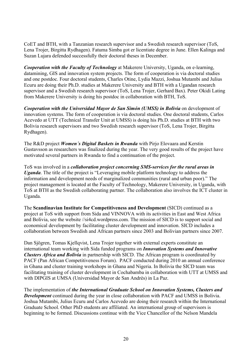CoET and BTH, with a Tanzanian research supervisor and a Swedish research supervisor (ToS, Lena Trojer, Birgitta Rydhagen). Fatuma Simba got er licentiate degree in June. Ellen Kalinga and Suzan Lujara defended successfully their doctoral theses in December.

*Cooperation with the Faculty of Technology* at Makerere University, Uganda, on e-learning, datamining, GIS and innovation system projects. The form of cooperation is via doctoral studies and one postdoc. Four doctoral students, Charles Otine, Lydia Mazzi, Joshua Mutambi and Julius Ecuru are doing their Ph.D. studies at Makerere University and BTH with a Ugandan research supervisor and a Swedish research supervisor (ToS, Lena Trojer, Gerhard Bax). Peter Okidi Lating from Makerere University is doing his postdoc in collaboration with BTH, ToS.

*Cooperation with the Universidad Mayor de San Simón (UMSS) in Bolivia* on development of innovation systems. The form of cooperation is via doctoral studies. One doctoral students, Carlos Acevedo at UTT (Technical Transfer Unit at UMSS) is doing his Ph.D. studies at BTH with two Bolivia research supervisors and two Swedish research supervisor (ToS, Lena Trojer, Birgitta Rydhagen).

The R&D project *Women´s Digital Baskets in Rwanda* with Pirjo Elovaara and Kerstin Gustavsson as researchers was finalized during the year. The very good results of the project have motivated several partners in Rwanda to find a continuation of the project.

ToS was involved in a *collaboration project concerning SMS-services for the rural areas in Uganda*. The title of the project is "Leveraging mobile platform technology to address the information and development needs of marginalized communities (rural and urban poor)." The project management is located at the Faculty of Technology, Makerere University, in Uganda, with ToS at BTH as the Swedish collaborating partner. The collaboration also involves the ICT cluster in Uganda.

The **Scandinavian Institute for Competitiveness and Development** (SICD) continued as a project at ToS with support from Sida and VINNOVA with its activities in East and West Africa and Bolivia, see the website //si4cd.wordpress.com. The mission of SICD is to support social and economical development by facilitating cluster development and innovation. SICD includes a collaboration between Swedish and African partners since 2003 and Bolivian partners since 2007.

Dan Sjögren, Tomas Kjellqvist, Lena Trojer together with external experts constitute an international team working with Sida funded programs on *Innovation Systems and Innovative Clusters Africa and Bolivia* in partnership with SICD. The African program is coordinated by PACF (Pan African Competitiveness Forum). PACF conducted during 2010 an annual conference in Ghana and cluster training workshops in Ghana and Nigeria. In Bolivia the SICD team was facilitating training of cluster development in Cochabamba in collaboration with UTT at UMSS and with DIPGIS at UMSA (Universidad Mayor de San Andrès) in La Paz.

The implementation of *the International Graduate School on Innovation Systems, Clusters and Development* continued during the year in close collaboration with PACF and UMSS in Bolivia. Joshua Mutambi, Julius Ecuru and Carlos Acevedo are doing their research within the International Graduate School. Other PhD students are affiliated. An international group of supervisors is beginning to be formed. Discussions continue with the Vice Chancellor of the Nelson Mandela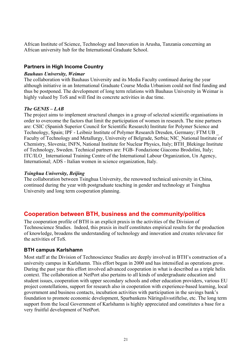African Institute of Science, Technology and Innovation in Arusha, Tanzania concerning an African university hub for the International Graduate School.

#### **Partners in High Income Country**

#### *Bauhaus University, Weimar*

The collaboration with Bauhaus University and its Media Faculty continued during the year although initiative in an International Graduate Course Media Urbanism could not find funding and thus be postponed. The development of long term relations with Bauhaus University in Weimar is highly valued by ToS and will find its concrete activities in due time.

#### *The GENIS – LAB*

The project aims to implement structural changes in a group of selected scientific organisations in order to overcome the factors that limit the participation of women in research. The nine partners are: CSIC (Spanish Superior Council for Scientific Research) Institute for Polymer Science and Technology, Spain; IPF - Leibniz Institute of Polymer Research Dresden, Germany; FTM UB \_ Faculty of Technology and Metallurgy, University of Belgrade, Serbia; NIC\_National Institute of Chemistry, Slovenia; INFN, National Institute for Nuclear Physics, Italy; BTH\_Blekinge Institute of Technology, Sweden. Technical partners are: FGB- Fondazione Giacomo Brodolini, Italy; ITC/ILO\_ International Training Centre of the International Labour Organization, Un Agency, International; ADS - Italian women in science organization, Italy.

#### *Tsinghua University, Beijing*

The collaboration between Tsinghua University, the renowned technical university in China, continued during the year with postgraduate teaching in gender and technology at Tsinghua University and long term cooperation planning.

## **Cooperation between BTH, business and the community/politics**

The cooperation profile of BTH is an explicit praxis in the activities of the Division of Technoscience Studies. Indeed, this praxis in itself constitutes empirical results for the production of knowledge, broadens the understanding of technology and innovation and creates relevance for the activities of ToS.

#### **BTH campus Karlshamn**

Most staff at the Division of Technoscience Studies are deeply involved in BTH's construction of a university campus in Karlshamn. This effort began in 2000 and has intensified as operations grow. During the past year this effort involved advanced cooperation in what is described as a triple helix context. The collaboration at NetPort also pertains to all kinds of undergraduate education and student issues, cooperation with upper secondary schools and other education providers, various EU project constellations, support for research also in cooperation with experience-based learning, local government and business contacts, incubation activities with participation in the savings bank's foundation to promote economic development, Sparbankens Näringslivsstiftelse, etc. The long term support from the local Government of Karlshamn is highly appreciated and constitutes a base for a very fruitful development of NetPort.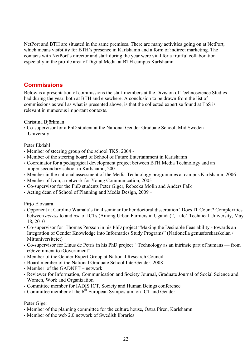NetPort and BTH are situated in the same premises. There are many activities going on at NetPort, which means visibility for BTH's presence in Karlshamn and a form of indirect marketing. The contacts with NetPort's director and staff during the year were vital for a fruitful collaboration especially in the profile area of Digital Media at BTH campus Karlshamn.

## **Commissions**

Below is a presentation of commissions the staff members at the Division of Technoscience Studies had during the year, both at BTH and elsewhere. A conclusion to be drawn from the list of commissions as well as what is presented above, is that the collected expertise found at ToS is relevant in numerous important contexts.

Christina Björkman

• Co-supervisor for a PhD student at the National Gender Graduate School, Mid Sweden University.

Peter Ekdahl

- Member of steering group of the school TKS, 2004 -
- Member of the steering board of School of Future Entertainment in Karlshamn
- Coordinator for a pedagogical development project between BTH Media Technology and an upper secondary school in Karlshamn, 2001 –
- Member in the national assessment of the Media Technology programmes at campus Karlshamn, 2006 –
- Member of Izon, a network for Young Communication, 2005 –
- Co-supervisor for the PhD students Peter Giger, Rebecka Molin and Anders Falk
- Acting dean of School of Planning and Media Design, 2009 –

Pirjo Elovaara

- Opponent at Caroline Wamala´s final seminar for her doctoral dissertation "Does IT Count? Complexities between *access* to and *use* of ICTs (Among Urban Farmers in Uganda)", Luleå Technical University, May 18, 2010
- Co-supervisor for Thomas Persson in his PhD project "Making the Desirable Feasiability towards an Integration of Gender Knowledge into Informatics Study Programs" (Nationella genusforskarskolan / Mittuniversitetet)
- Co-supervisor for Linus de Petris in his PhD project "Technology as an intrinsic part of humans from eGovernment to iGovernment"
- Member of the Gender Expert Group at National Research Council
- Board member of the National Graduate School InterGender, 2008 –
- Member of the GADNET network
- Reviewer for Information, Communication and Society Journal, Graduate Journal of Social Science and Women, Work and Organization
- Committee member for IADIS ICT, Society and Human Beings conference
- $\cdot$  Committee member of the  $6<sup>th</sup>$  European Symposium on ICT and Gender

#### Peter Giger

- Member of the planning committee for the culture house, Östra Piren, Karlshamn
- Member of the web 2.0 network of Swedish libraries